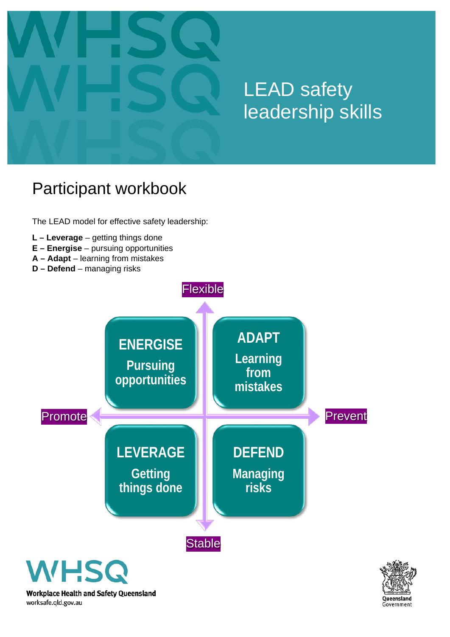

# LEAD safety leadership skills

# Participant workbook

The LEAD model for effective safety leadership:

- **L – Leverage** getting things done
- **E – Energise** pursuing opportunities
- **A – Adapt** learning from mistakes
- **D – Defend** managing risks



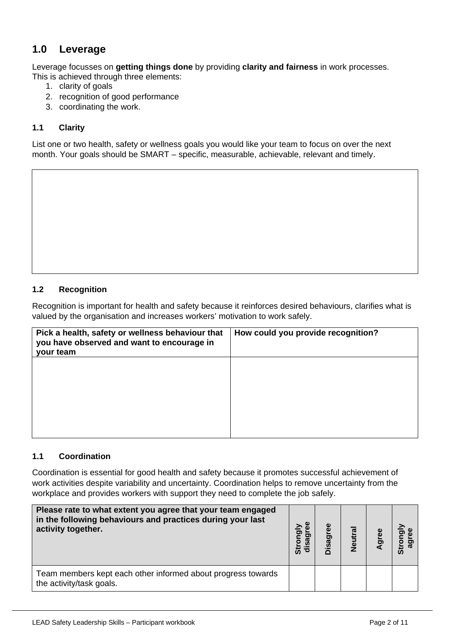# **1.0 Leverage**

Leverage focusses on **getting things done** by providing **clarity and fairness** in work processes. This is achieved through three elements:

- 1. clarity of goals
- 2. recognition of good performance
- 3. coordinating the work.

# **1.1 Clarity**

List one or two health, safety or wellness goals you would like your team to focus on over the next month. Your goals should be SMART – specific, measurable, achievable, relevant and timely.

## **1.2 Recognition**

Recognition is important for health and safety because it reinforces desired behaviours, clarifies what is valued by the organisation and increases workers' motivation to work safely.

| Pick a health, safety or wellness behaviour that<br>you have observed and want to encourage in<br>your team | How could you provide recognition? |
|-------------------------------------------------------------------------------------------------------------|------------------------------------|
|                                                                                                             |                                    |
|                                                                                                             |                                    |
|                                                                                                             |                                    |

## **1.1 Coordination**

Coordination is essential for good health and safety because it promotes successful achievement of work activities despite variability and uncertainty. Coordination helps to remove uncertainty from the workplace and provides workers with support they need to complete the job safely.

| Please rate to what extent you agree that your team engaged<br>in the following behaviours and practices during your last<br>activity together. | ⋗<br><u>ਰ</u><br>disag<br>ō<br>ູ້ຜົ | Φ | Neutral | Agree | ຜົ |
|-------------------------------------------------------------------------------------------------------------------------------------------------|-------------------------------------|---|---------|-------|----|
| Team members kept each other informed about progress towards<br>the activity/task goals.                                                        |                                     |   |         |       |    |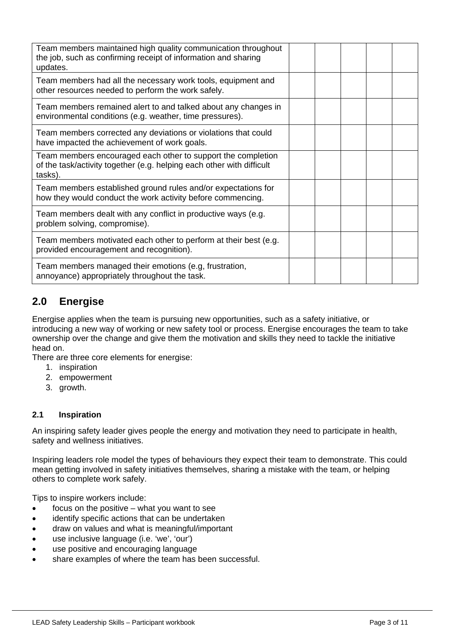| Team members maintained high quality communication throughout<br>the job, such as confirming receipt of information and sharing<br>updates.      |  |  |  |
|--------------------------------------------------------------------------------------------------------------------------------------------------|--|--|--|
| Team members had all the necessary work tools, equipment and<br>other resources needed to perform the work safely.                               |  |  |  |
| Team members remained alert to and talked about any changes in<br>environmental conditions (e.g. weather, time pressures).                       |  |  |  |
| Team members corrected any deviations or violations that could<br>have impacted the achievement of work goals.                                   |  |  |  |
| Team members encouraged each other to support the completion<br>of the task/activity together (e.g. helping each other with difficult<br>tasks). |  |  |  |
| Team members established ground rules and/or expectations for<br>how they would conduct the work activity before commencing.                     |  |  |  |
| Team members dealt with any conflict in productive ways (e.g.<br>problem solving, compromise).                                                   |  |  |  |
| Team members motivated each other to perform at their best (e.g.<br>provided encouragement and recognition).                                     |  |  |  |
| Team members managed their emotions (e.g, frustration,<br>annoyance) appropriately throughout the task.                                          |  |  |  |

# **2.0 Energise**

Energise applies when the team is pursuing new opportunities, such as a safety initiative, or introducing a new way of working or new safety tool or process. Energise encourages the team to take ownership over the change and give them the motivation and skills they need to tackle the initiative head on.

There are three core elements for energise:

- 1. inspiration
- 2. empowerment
- 3. growth.

# **2.1 Inspiration**

An inspiring safety leader gives people the energy and motivation they need to participate in health, safety and wellness initiatives.

Inspiring leaders role model the types of behaviours they expect their team to demonstrate. This could mean getting involved in safety initiatives themselves, sharing a mistake with the team, or helping others to complete work safely.

Tips to inspire workers include:

- focus on the positive what you want to see
- identify specific actions that can be undertaken
- draw on values and what is meaningful/important
- use inclusive language (i.e. 'we', 'our')
- use positive and encouraging language
- share examples of where the team has been successful.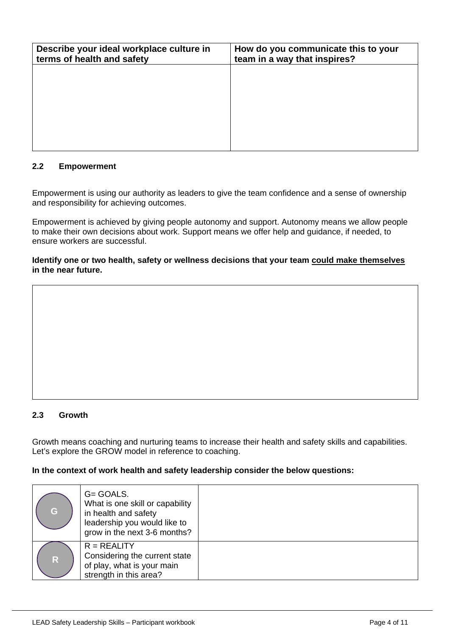| Describe your ideal workplace culture in<br>terms of health and safety | How do you communicate this to your<br>team in a way that inspires? |
|------------------------------------------------------------------------|---------------------------------------------------------------------|
|                                                                        |                                                                     |
|                                                                        |                                                                     |
|                                                                        |                                                                     |
|                                                                        |                                                                     |

# **2.2 Empowerment**

Empowerment is using our authority as leaders to give the team confidence and a sense of ownership and responsibility for achieving outcomes.

Empowerment is achieved by giving people autonomy and support. Autonomy means we allow people to make their own decisions about work. Support means we offer help and guidance, if needed, to ensure workers are successful.

**Identify one or two health, safety or wellness decisions that your team could make themselves in the near future.**

## **2.3 Growth**

Growth means coaching and nurturing teams to increase their health and safety skills and capabilities. Let's explore the GROW model in reference to coaching.

#### **In the context of work health and safety leadership consider the below questions:**

| G            | G= GOALS.<br>What is one skill or capability<br>in health and safety<br>leadership you would like to<br>grow in the next 3-6 months? |  |
|--------------|--------------------------------------------------------------------------------------------------------------------------------------|--|
| $\mathsf{R}$ | $R = REALITY$<br>Considering the current state<br>of play, what is your main<br>strength in this area?                               |  |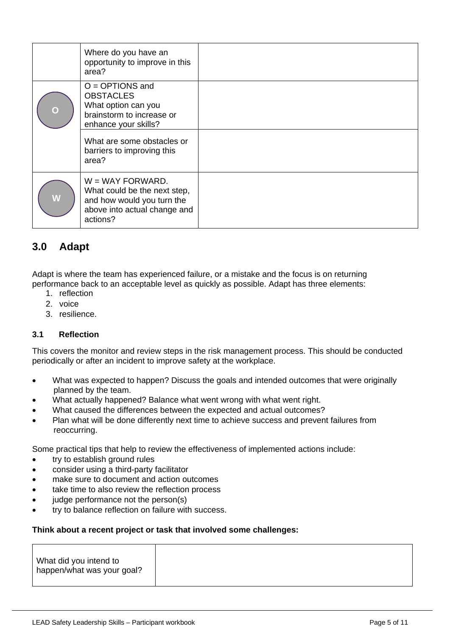|             | Where do you have an<br>opportunity to improve in this<br>area?                                                              |  |
|-------------|------------------------------------------------------------------------------------------------------------------------------|--|
| $\mathbf O$ | $O = OPTIONS$ and<br><b>OBSTACLES</b><br>What option can you<br>brainstorm to increase or<br>enhance your skills?            |  |
|             | What are some obstacles or<br>barriers to improving this<br>area?                                                            |  |
| W           | $W = WAY FORMARD.$<br>What could be the next step,<br>and how would you turn the<br>above into actual change and<br>actions? |  |

# **3.0 Adapt**

Adapt is where the team has experienced failure, or a mistake and the focus is on returning performance back to an acceptable level as quickly as possible. Adapt has three elements:

- 1. reflection
- 2. voice
- 3. resilience.

# **3.1 Reflection**

This covers the monitor and review steps in the risk management process. This should be conducted periodically or after an incident to improve safety at the workplace.

- What was expected to happen? Discuss the goals and intended outcomes that were originally planned by the team.
- What actually happened? Balance what went wrong with what went right.
- What caused the differences between the expected and actual outcomes?
- Plan what will be done differently next time to achieve success and prevent failures from reoccurring.

Some practical tips that help to review the effectiveness of implemented actions include:

- try to establish ground rules
- consider using a third-party facilitator
- make sure to document and action outcomes
- take time to also review the reflection process
- judge performance not the person(s)
- try to balance reflection on failure with success.

#### **Think about a recent project or task that involved some challenges:**

| What did you intend to     |
|----------------------------|
| happen/what was your goal? |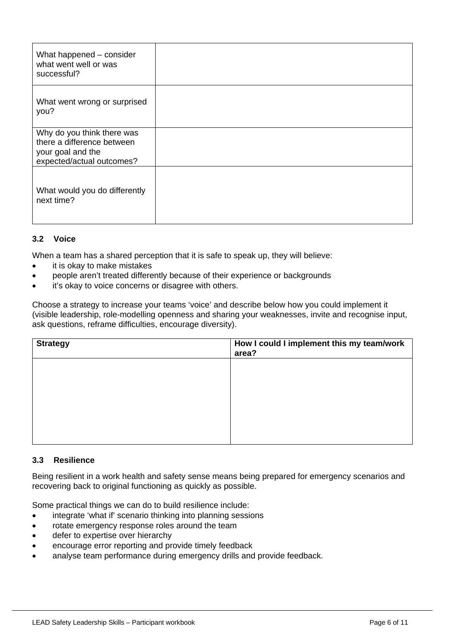| What happened - consider<br>what went well or was<br>successful?                                           |  |
|------------------------------------------------------------------------------------------------------------|--|
| What went wrong or surprised<br>you?                                                                       |  |
| Why do you think there was<br>there a difference between<br>your goal and the<br>expected/actual outcomes? |  |
| What would you do differently<br>next time?                                                                |  |

# **3.2 Voice**

When a team has a shared perception that it is safe to speak up, they will believe:

- it is okay to make mistakes
- people aren't treated differently because of their experience or backgrounds
- it's okay to voice concerns or disagree with others.

Choose a strategy to increase your teams 'voice' and describe below how you could implement it (visible leadership, role-modelling openness and sharing your weaknesses, invite and recognise input, ask questions, reframe difficulties, encourage diversity).

| <b>Strategy</b> | How I could I implement this my team/work<br>area? |
|-----------------|----------------------------------------------------|
|                 |                                                    |
|                 |                                                    |
|                 |                                                    |
|                 |                                                    |
|                 |                                                    |

## **3.3 Resilience**

Being resilient in a work health and safety sense means being prepared for emergency scenarios and recovering back to original functioning as quickly as possible.

Some practical things we can do to build resilience include:

- integrate 'what if' scenario thinking into planning sessions
- rotate emergency response roles around the team
- defer to expertise over hierarchy
- encourage error reporting and provide timely feedback
- analyse team performance during emergency drills and provide feedback.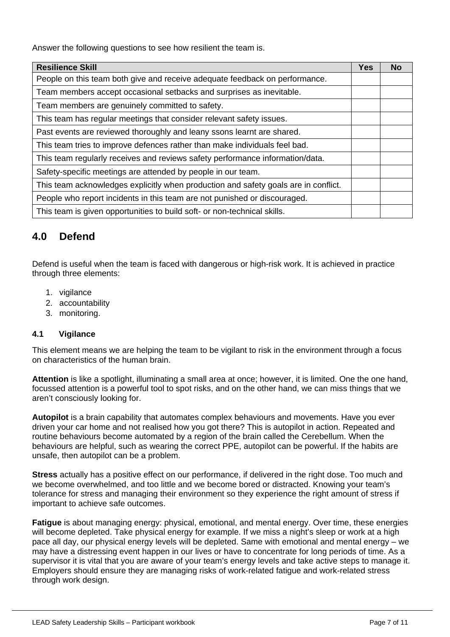Answer the following questions to see how resilient the team is.

| <b>Resilience Skill</b>                                                             | <b>Yes</b> | <b>No</b> |
|-------------------------------------------------------------------------------------|------------|-----------|
| People on this team both give and receive adequate feedback on performance.         |            |           |
| Team members accept occasional setbacks and surprises as inevitable.                |            |           |
| Team members are genuinely committed to safety.                                     |            |           |
| This team has regular meetings that consider relevant safety issues.                |            |           |
| Past events are reviewed thoroughly and leany ssons learnt are shared.              |            |           |
| This team tries to improve defences rather than make individuals feel bad.          |            |           |
| This team regularly receives and reviews safety performance information/data.       |            |           |
| Safety-specific meetings are attended by people in our team.                        |            |           |
| This team acknowledges explicitly when production and safety goals are in conflict. |            |           |
| People who report incidents in this team are not punished or discouraged.           |            |           |
| This team is given opportunities to build soft- or non-technical skills.            |            |           |

# **4.0 Defend**

Defend is useful when the team is faced with dangerous or high-risk work. It is achieved in practice through three elements:

- 1. vigilance
- 2. accountability
- 3. monitoring.

# **4.1 Vigilance**

This element means we are helping the team to be vigilant to risk in the environment through a focus on characteristics of the human brain.

**Attention** is like a spotlight, illuminating a small area at once; however, it is limited. One the one hand, focussed attention is a powerful tool to spot risks, and on the other hand, we can miss things that we aren't consciously looking for.

**Autopilot** is a brain capability that automates complex behaviours and movements. Have you ever driven your car home and not realised how you got there? This is autopilot in action. Repeated and routine behaviours become automated by a region of the brain called the Cerebellum. When the behaviours are helpful, such as wearing the correct PPE, autopilot can be powerful. If the habits are unsafe, then autopilot can be a problem.

**Stress** actually has a positive effect on our performance, if delivered in the right dose. Too much and we become overwhelmed, and too little and we become bored or distracted. Knowing your team's tolerance for stress and managing their environment so they experience the right amount of stress if important to achieve safe outcomes.

**Fatigue** is about managing energy: physical, emotional, and mental energy. Over time, these energies will become depleted. Take physical energy for example. If we miss a night's sleep or work at a high pace all day, our physical energy levels will be depleted. Same with emotional and mental energy – we may have a distressing event happen in our lives or have to concentrate for long periods of time. As a supervisor it is vital that you are aware of your team's energy levels and take active steps to manage it. Employers should ensure they are managing risks of work-related fatigue and work-related stress through work design.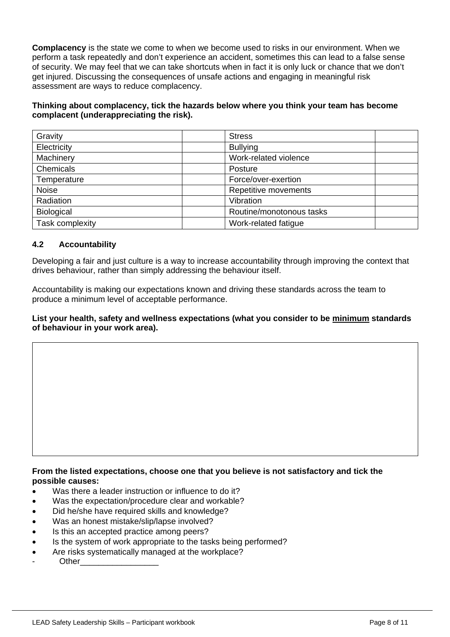**Complacency** is the state we come to when we become used to risks in our environment. When we perform a task repeatedly and don't experience an accident, sometimes this can lead to a false sense of security. We may feel that we can take shortcuts when in fact it is only luck or chance that we don't get injured. Discussing the consequences of unsafe actions and engaging in meaningful risk assessment are ways to reduce complacency.

# **Thinking about complacency, tick the hazards below where you think your team has become complacent (underappreciating the risk).**

| Gravity           | <b>Stress</b>            |
|-------------------|--------------------------|
| Electricity       | <b>Bullying</b>          |
| Machinery         | Work-related violence    |
| Chemicals         | Posture                  |
| Temperature       | Force/over-exertion      |
| Noise             | Repetitive movements     |
| Radiation         | Vibration                |
| <b>Biological</b> | Routine/monotonous tasks |
| Task complexity   | Work-related fatigue     |

# **4.2 Accountability**

Developing a fair and just culture is a way to increase accountability through improving the context that drives behaviour, rather than simply addressing the behaviour itself.

Accountability is making our expectations known and driving these standards across the team to produce a minimum level of acceptable performance.

## **List your health, safety and wellness expectations (what you consider to be minimum standards of behaviour in your work area).**

#### **From the listed expectations, choose one that you believe is not satisfactory and tick the possible causes:**

- Was there a leader instruction or influence to do it?
- Was the expectation/procedure clear and workable?
- Did he/she have required skills and knowledge?
- Was an honest mistake/slip/lapse involved?
- Is this an accepted practice among peers?
- Is the system of work appropriate to the tasks being performed?
- Are risks systematically managed at the workplace?
- Other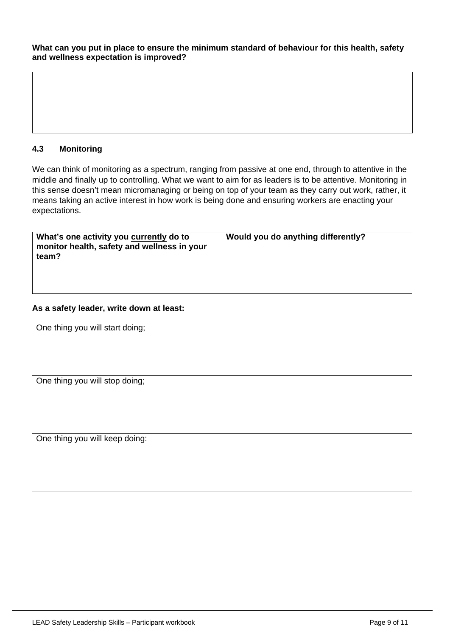**What can you put in place to ensure the minimum standard of behaviour for this health, safety and wellness expectation is improved?**

# **4.3 Monitoring**

We can think of monitoring as a spectrum, ranging from passive at one end, through to attentive in the middle and finally up to controlling. What we want to aim for as leaders is to be attentive. Monitoring in this sense doesn't mean micromanaging or being on top of your team as they carry out work, rather, it means taking an active interest in how work is being done and ensuring workers are enacting your expectations.

| What's one activity you currently do to<br>monitor health, safety and wellness in your<br>team? | Would you do anything differently? |
|-------------------------------------------------------------------------------------------------|------------------------------------|
|                                                                                                 |                                    |

#### **As a safety leader, write down at least:**

| One thing you will start doing; |
|---------------------------------|
|                                 |
|                                 |
|                                 |
|                                 |
| One thing you will stop doing;  |
|                                 |
|                                 |
|                                 |
|                                 |
| One thing you will keep doing:  |
|                                 |
|                                 |
|                                 |
|                                 |